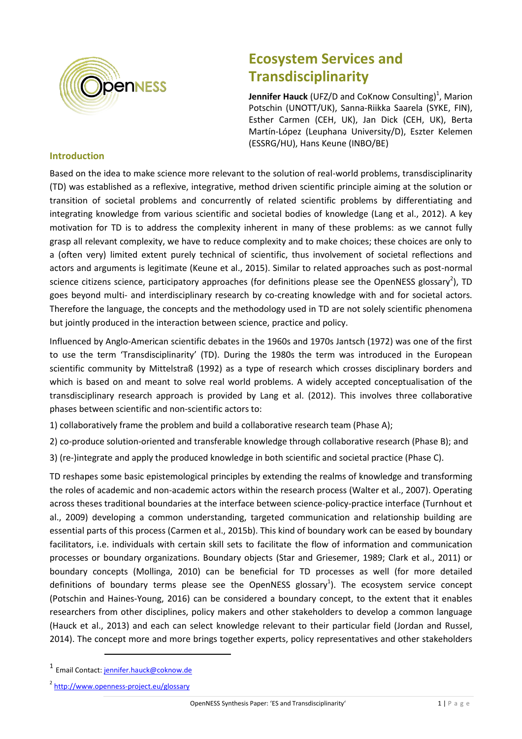

# **Ecosystem Services and Transdisciplinarity**

**Jennifer Hauck** (UFZ/D and CoKnow Consulting)<sup>1</sup>, Marion Potschin (UNOTT/UK), Sanna-Riikka Saarela (SYKE, FIN), Esther Carmen (CEH, UK), Jan Dick (CEH, UK), Berta Martín-López (Leuphana University/D), Eszter Kelemen (ESSRG/HU), Hans Keune (INBO/BE)

## **Introduction**

Based on the idea to make science more relevant to the solution of real-world problems, transdisciplinarity (TD) was established as a reflexive, integrative, method driven scientific principle aiming at the solution or transition of societal problems and concurrently of related scientific problems by differentiating and integrating knowledge from various scientific and societal bodies of knowledge (Lang et al., 2012). A key motivation for TD is to address the complexity inherent in many of these problems: as we cannot fully grasp all relevant complexity, we have to reduce complexity and to make choices; these choices are only to a (often very) limited extent purely technical of scientific, thus involvement of societal reflections and actors and arguments is legitimate (Keune et al., 2015). Similar to related approaches such as post-normal science citizens science, participatory approaches (for definitions please see the OpenNESS glossary<sup>2</sup>), TD goes beyond multi- and interdisciplinary research by co-creating knowledge with and for societal actors. Therefore the language, the concepts and the methodology used in TD are not solely scientific phenomena but jointly produced in the interaction between science, practice and policy.

Influenced by Anglo-American scientific debates in the 1960s and 1970s Jantsch (1972) was one of the first to use the term 'Transdisciplinarity' (TD). During the 1980s the term was introduced in the European scientific community by Mittelstraß (1992) as a type of research which crosses disciplinary borders and which is based on and meant to solve real world problems. A widely accepted conceptualisation of the transdisciplinary research approach is provided by Lang et al. (2012). This involves three collaborative phases between scientific and non-scientific actors to:

- 1) collaboratively frame the problem and build a collaborative research team (Phase A);
- 2) co-produce solution-oriented and transferable knowledge through collaborative research (Phase B); and
- 3) (re-)integrate and apply the produced knowledge in both scientific and societal practice (Phase C).

TD reshapes some basic epistemological principles by extending the realms of knowledge and transforming the roles of academic and non-academic actors within the research process (Walter et al., 2007). Operating across theses traditional boundaries at the interface between science-policy-practice interface (Turnhout et al., 2009) developing a common understanding, targeted communication and relationship building are essential parts of this process (Carmen et al., 2015b). This kind of boundary work can be eased by boundary facilitators, i.e. individuals with certain skill sets to facilitate the flow of information and communication processes or boundary organizations. Boundary objects (Star and Griesemer, 1989; Clark et al., 2011) or boundary concepts (Mollinga, 2010) can be beneficial for TD processes as well (for more detailed definitions of boundary terms please see the OpenNESS glossary<sup>1</sup>). The ecosystem service concept (Potschin and Haines-Young, 2016) can be considered a boundary concept, to the extent that it enables researchers from other disciplines, policy makers and other stakeholders to develop a common language (Hauck et al., 2013) and each can select knowledge relevant to their particular field (Jordan and Russel, 2014). The concept more and more brings together experts, policy representatives and other stakeholders

 $\overline{a}$ 

<sup>1</sup> Email Contact[: jennifer.hauck@coknow.de](mailto:jennifer.hauck@coknow.de)

<sup>&</sup>lt;sup>2</sup> <http://www.openness-project.eu/glossary>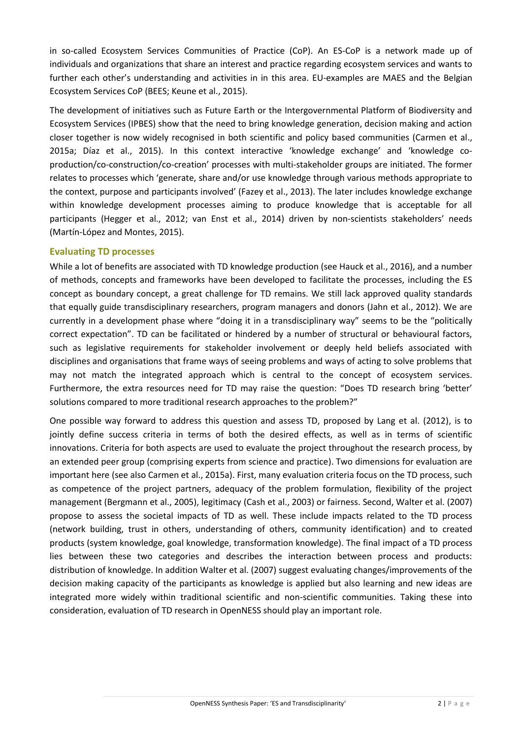in so-called Ecosystem Services Communities of Practice (CoP). An ES-CoP is a network made up of individuals and organizations that share an interest and practice regarding ecosystem services and wants to further each other's understanding and activities in in this area. EU-examples are MAES and the Belgian Ecosystem Services CoP (BEES; Keune et al., 2015).

The development of initiatives such as Future Earth or the Intergovernmental Platform of Biodiversity and Ecosystem Services (IPBES) show that the need to bring knowledge generation, decision making and action closer together is now widely recognised in both scientific and policy based communities (Carmen et al., 2015a; Díaz et al., 2015). In this context interactive 'knowledge exchange' and 'knowledge coproduction/co-construction/co-creation' processes with multi-stakeholder groups are initiated. The former relates to processes which 'generate, share and/or use knowledge through various methods appropriate to the context, purpose and participants involved' (Fazey et al., 2013). The later includes knowledge exchange within knowledge development processes aiming to produce knowledge that is acceptable for all participants (Hegger et al., 2012; van Enst et al., 2014) driven by non-scientists stakeholders' needs (Martín-López and Montes, 2015).

## **Evaluating TD processes**

While a lot of benefits are associated with TD knowledge production (see Hauck et al., 2016), and a number of methods, concepts and frameworks have been developed to facilitate the processes, including the ES concept as boundary concept, a great challenge for TD remains. We still lack approved quality standards that equally guide transdisciplinary researchers, program managers and donors (Jahn et al., 2012). We are currently in a development phase where "doing it in a transdisciplinary way" seems to be the "politically correct expectation". TD can be facilitated or hindered by a number of structural or behavioural factors, such as legislative requirements for stakeholder involvement or deeply held beliefs associated with disciplines and organisations that frame ways of seeing problems and ways of acting to solve problems that may not match the integrated approach which is central to the concept of ecosystem services. Furthermore, the extra resources need for TD may raise the question: "Does TD research bring 'better' solutions compared to more traditional research approaches to the problem?"

One possible way forward to address this question and assess TD, proposed by Lang et al. (2012), is to jointly define success criteria in terms of both the desired effects, as well as in terms of scientific innovations. Criteria for both aspects are used to evaluate the project throughout the research process, by an extended peer group (comprising experts from science and practice). Two dimensions for evaluation are important here (see also Carmen et al., 2015a). First, many evaluation criteria focus on the TD process, such as competence of the project partners, adequacy of the problem formulation, flexibility of the project management (Bergmann et al., 2005), legitimacy (Cash et al., 2003) or fairness. Second, Walter et al. (2007) propose to assess the societal impacts of TD as well. These include impacts related to the TD process (network building, trust in others, understanding of others, community identification) and to created products (system knowledge, goal knowledge, transformation knowledge). The final impact of a TD process lies between these two categories and describes the interaction between process and products: distribution of knowledge. In addition Walter et al. (2007) suggest evaluating changes/improvements of the decision making capacity of the participants as knowledge is applied but also learning and new ideas are integrated more widely within traditional scientific and non-scientific communities. Taking these into consideration, evaluation of TD research in OpenNESS should play an important role.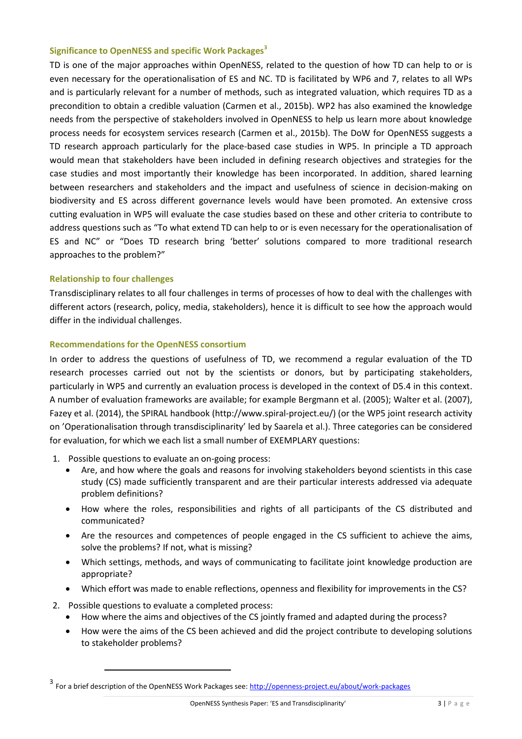### **Significance to OpenNESS and specific Work Packages<sup>3</sup>**

TD is one of the major approaches within OpenNESS, related to the question of how TD can help to or is even necessary for the operationalisation of ES and NC. TD is facilitated by WP6 and 7, relates to all WPs and is particularly relevant for a number of methods, such as integrated valuation, which requires TD as a precondition to obtain a credible valuation (Carmen et al., 2015b). WP2 has also examined the knowledge needs from the perspective of stakeholders involved in OpenNESS to help us learn more about knowledge process needs for ecosystem services research (Carmen et al., 2015b). The DoW for OpenNESS suggests a TD research approach particularly for the place-based case studies in WP5. In principle a TD approach would mean that stakeholders have been included in defining research objectives and strategies for the case studies and most importantly their knowledge has been incorporated. In addition, shared learning between researchers and stakeholders and the impact and usefulness of science in decision-making on biodiversity and ES across different governance levels would have been promoted. An extensive cross cutting evaluation in WP5 will evaluate the case studies based on these and other criteria to contribute to address questions such as "To what extend TD can help to or is even necessary for the operationalisation of ES and NC" or "Does TD research bring 'better' solutions compared to more traditional research approaches to the problem?"

### **Relationship to four challenges**

Transdisciplinary relates to all four challenges in terms of processes of how to deal with the challenges with different actors (research, policy, media, stakeholders), hence it is difficult to see how the approach would differ in the individual challenges.

#### **Recommendations for the OpenNESS consortium**

In order to address the questions of usefulness of TD, we recommend a regular evaluation of the TD research processes carried out not by the scientists or donors, but by participating stakeholders, particularly in WP5 and currently an evaluation process is developed in the context of D5.4 in this context. A number of evaluation frameworks are available; for example Bergmann et al. (2005); Walter et al. (2007), Fazey et al. (2014), the SPIRAL handbook (http://www.spiral-project.eu/) (or the WP5 joint research activity on 'Operationalisation through transdisciplinarity' led by Saarela et al.). Three categories can be considered for evaluation, for which we each list a small number of EXEMPLARY questions:

- 1. Possible questions to evaluate an on-going process:
	- Are, and how where the goals and reasons for involving stakeholders beyond scientists in this case study (CS) made sufficiently transparent and are their particular interests addressed via adequate problem definitions?
	- How where the roles, responsibilities and rights of all participants of the CS distributed and communicated?
	- Are the resources and competences of people engaged in the CS sufficient to achieve the aims, solve the problems? If not, what is missing?
	- Which settings, methods, and ways of communicating to facilitate joint knowledge production are appropriate?
	- Which effort was made to enable reflections, openness and flexibility for improvements in the CS?
- 2. Possible questions to evaluate a completed process:

 $\overline{a}$ 

- How where the aims and objectives of the CS jointly framed and adapted during the process?
- How were the aims of the CS been achieved and did the project contribute to developing solutions to stakeholder problems?

<sup>3&</sup>lt;br>For a brief description of the OpenNESS Work Packages see: <u>http://openness-project.eu/about/work-packages</u>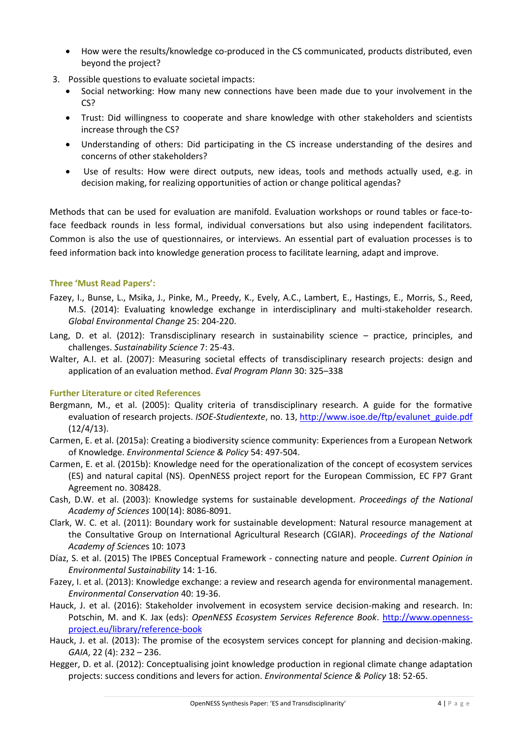- How were the results/knowledge co-produced in the CS communicated, products distributed, even beyond the project?
- 3. Possible questions to evaluate societal impacts:
	- Social networking: How many new connections have been made due to your involvement in the CS?
	- Trust: Did willingness to cooperate and share knowledge with other stakeholders and scientists increase through the CS?
	- Understanding of others: Did participating in the CS increase understanding of the desires and concerns of other stakeholders?
	- Use of results: How were direct outputs, new ideas, tools and methods actually used, e.g. in decision making, for realizing opportunities of action or change political agendas?

Methods that can be used for evaluation are manifold. Evaluation workshops or round tables or face-toface feedback rounds in less formal, individual conversations but also using independent facilitators. Common is also the use of questionnaires, or interviews. An essential part of evaluation processes is to feed information back into knowledge generation process to facilitate learning, adapt and improve.

## **Three 'Must Read Papers':**

- Fazey, I., Bunse, L., Msika, J., Pinke, M., Preedy, K., Evely, A.C., Lambert, E., Hastings, E., Morris, S., Reed, M.S. (2014): Evaluating knowledge exchange in interdisciplinary and multi-stakeholder research. *Global Environmental Change* 25: 204-220.
- Lang, D. et al. (2012): Transdisciplinary research in sustainability science practice, principles, and challenges. *Sustainability Science* 7: 25-43.
- Walter, A.I. et al. (2007): Measuring societal effects of transdisciplinary research projects: design and application of an evaluation method. *Eval Program Plann* 30: 325–338

## **Further Literature or cited References**

- Bergmann, M., et al. (2005): Quality criteria of transdisciplinary research. A guide for the formative evaluation of research projects. *ISOE-Studientexte*, no. 13, http://www.isoe.de/ftp/evalunet\_guide.pdf (12/4/13).
- Carmen, E. et al. (2015a): Creating a biodiversity science community: Experiences from a European Network of Knowledge. *Environmental Science & Policy* 54: 497-504.
- Carmen, E. et al. (2015b): Knowledge need for the operationalization of the concept of ecosystem services (ES) and natural capital (NS). OpenNESS project report for the European Commission, EC FP7 Grant Agreement no. 308428.
- Cash, D.W. et al. (2003): Knowledge systems for sustainable development. *Proceedings of the National Academy of Sciences* 100(14): 8086-8091.
- Clark, W. C. et al. (2011): Boundary work for sustainable development: Natural resource management at the Consultative Group on International Agricultural Research (CGIAR). *Proceedings of the National Academy of Science*s 10: 1073
- Díaz, S. et al. (2015) The IPBES Conceptual Framework connecting nature and people. *Current Opinion in Environmental Sustainability* 14: 1-16.
- Fazey, I. et al. (2013): Knowledge exchange: a review and research agenda for environmental management. *Environmental Conservation* 40: 19-36.
- Hauck, J. et al. (2016): Stakeholder involvement in ecosystem service decision-making and research. In: Potschin, M. and K. Jax (eds): *OpenNESS Ecosystem Services Reference Book*. [http://www.openness](http://www.openness-project.eu/library/reference-book)[project.eu/library/reference-book](http://www.openness-project.eu/library/reference-book)
- Hauck, J. et al. (2013): The promise of the ecosystem services concept for planning and decision-making. *GAIA*, 22 (4): 232 – 236.
- Hegger, D. et al. (2012): Conceptualising joint knowledge production in regional climate change adaptation projects: success conditions and levers for action. *Environmental Science & Policy* 18: 52-65.